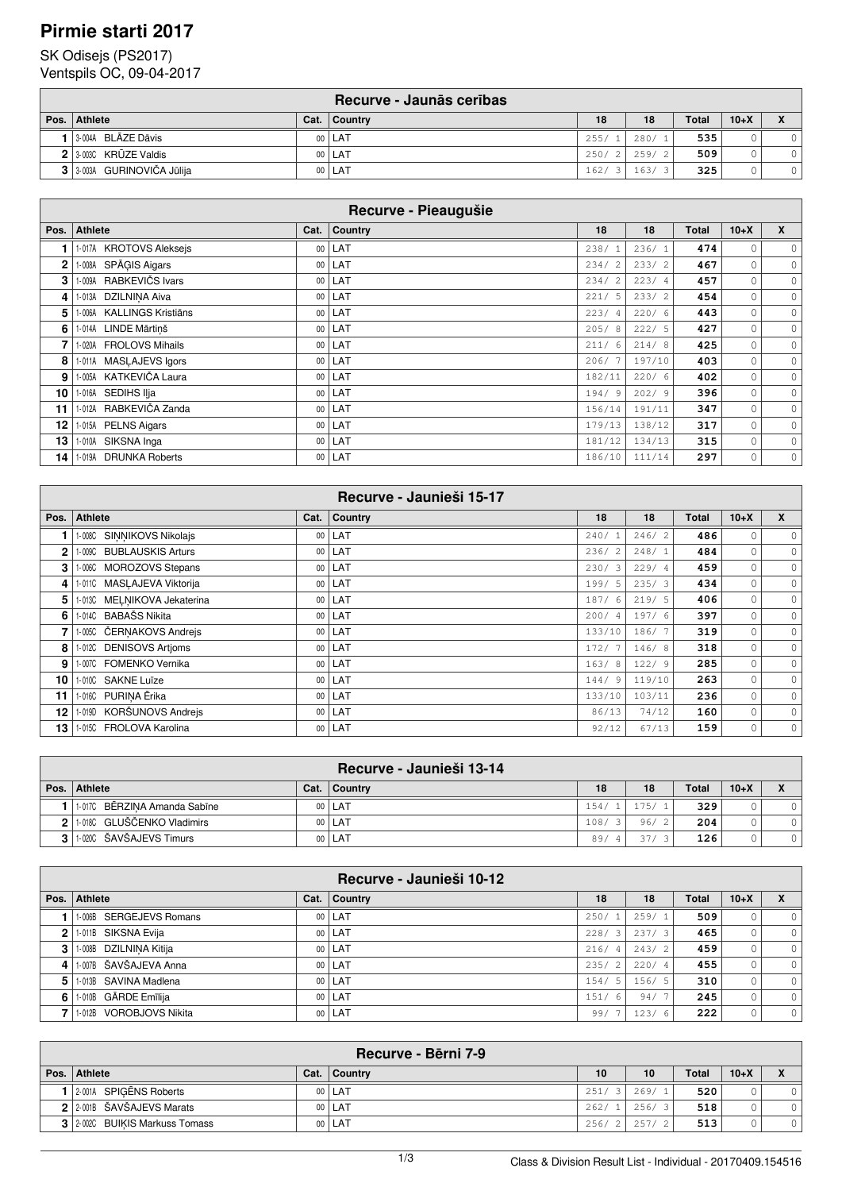### **Pirmie starti 2017**

### SK Odisejs (PS2017)

Ventspils OC, 09-04-2017

|      |                            |      | Recurve - Jaunās cerības |       |       |              |        |  |
|------|----------------------------|------|--------------------------|-------|-------|--------------|--------|--|
| Pos. | <b>Athlete</b>             | Cat. | Country                  | 18    | 18    | <b>Total</b> | $10+X$ |  |
|      | 3-004A BLĀZE Dāvis         |      | 00   LAT                 | 255/1 | 280/1 | 535          |        |  |
|      | $2$ 3.003C KRUZE Valdis    |      | 00   LAT                 | 250/2 | 259/2 | 509          |        |  |
|      | 3 3 003A GURINOVIČA Jūlija |      | 00   LAT                 | 162/  | 163/3 | 325          |        |  |

| Recurve - Pieaugušie |                                     |        |         |           |        |       |         |                     |  |  |
|----------------------|-------------------------------------|--------|---------|-----------|--------|-------|---------|---------------------|--|--|
| Pos.                 | <b>Athlete</b>                      | Cat.   | Country | 18        | 18     | Total | $10+X$  | X                   |  |  |
|                      | 1-017A KROTOVS Aleksejs             | 00     | LAT     | 238/      | 236/1  | 474   | 0       | $\circ$             |  |  |
| $\mathbf{2}$         | 1-008A SPĀĢIS Aigars                | $00\,$ | LAT     | 234/2     | 233/2  | 467   | $\circ$ | $\circ$             |  |  |
| 3                    | 1-009A RABKEVIČS Ivars              | 00     | LAT     | 234/2     | 223/4  | 457   | $\circ$ | $\circ$             |  |  |
| 4                    | 1-013A DZILNINA Aiva                | 00     | LAT     | 221/5     | 233/2  | 454   | 0       | $\circ$             |  |  |
| 5                    | <b>KALLINGS Kristiāns</b><br>1-006A | 00     | LAT     | 223/4     | 220/6  | 443   | $\circ$ | $\circ$             |  |  |
| 6                    | 1-014A LINDE Mārtiņš                | 00     | LAT     | 205/8     | 222/5  | 427   | $\circ$ | $\circ$             |  |  |
|                      | 1-020A FROLOVS Mihails              | 00     | LAT     | 211/<br>6 | 214/8  | 425   | 0       | $\circ$             |  |  |
| 8                    | 1-011A MASLAJEVS Igors              | $00\,$ | LAT     | 206/7     | 197/10 | 403   | 0       | $\circ$             |  |  |
| 9                    | 1-005A KATKEVIČA Laura              | 00     | LAT     | 182/11    | 220/6  | 402   | $\circ$ | 0                   |  |  |
| 10                   | 1-016A SEDIHS IIja                  | $00\,$ | LAT     | 194/9     | 202/9  | 396   | $\circ$ | 0                   |  |  |
| 11                   | 1-012A RABKEVIČA Zanda              | 00     | LAT     | 156/14    | 191/11 | 347   | $\circ$ | $\mathsf{O}\xspace$ |  |  |
| 12                   | 1-015A PELNS Aigars                 | $00\,$ | LAT     | 179/13    | 138/12 | 317   | $\circ$ | $\circ$             |  |  |
| 13                   | SIKSNA Inga<br>1-010A               | 00     | LAT     | 181/12    | 134/13 | 315   | $\circ$ | $\circ$             |  |  |
| 14                   | 1-019A DRUNKA Roberts               | $00\,$ | LAT     | 186/10    | 111/14 | 297   | 0       | $\circ$             |  |  |

|              |                             |        | Recurve - Jaunieši 15-17 |            |        |       |              |         |
|--------------|-----------------------------|--------|--------------------------|------------|--------|-------|--------------|---------|
| Pos.         | <b>Athlete</b>              |        | Cat. Country             | 18         | 18     | Total | $10+X$       | X       |
|              | 1-008C SINNIKOVS Nikolajs   | $00\,$ | LAT                      | 240/       | 246/2  | 486   | $\circ$      | $\circ$ |
| $\mathbf{2}$ | 1-009C BUBLAUSKIS Arturs    | 00     | LAT                      | 236/2      | 248/1  | 484   | $\circ$      | $\circ$ |
| 3            | 1-006C MOROZOVS Stepans     | 00     | LAT                      | 230/3      | 229/4  | 459   | $\circ$      | $\circ$ |
| 4            | 1-011C MASLAJEVA Viktorija  | $00\,$ | LAT                      | 199/5      | 235/3  | 434   | $\mathbf{0}$ | $\circ$ |
| 5            | 1-013C MELNIKOVA Jekaterina | 00     | LAT                      | 187/6      | 219/5  | 406   | $\mathbf{0}$ | $\circ$ |
| 6            | 1-014C BABAŠS Nikita        | $00\,$ | LAT                      | 200/4      | 197/6  | 397   | $\circ$      | $\circ$ |
|              | 1-005C ČERNAKOVS Andreis    | $00\,$ | LAT                      | 133/10     | 186/7  | 319   | $\circ$      | $\circ$ |
| 8            | 1-012C DENISOVS Artjoms     | 00     | LAT                      | 172/7      | 146/8  | 318   | $\circ$      | $\circ$ |
| 9            | 1-007C FOMENKO Vernika      | 00     | LAT                      | 163/8      | 122/9  | 285   | $\circ$      | $\circ$ |
| 10           | 1-010C SAKNE Luīze          | $00\,$ | LAT                      | 144/<br>-9 | 119/10 | 263   | 0            | $\circ$ |
| 11           | 1-016C PURINA Ērika         | $00\,$ | LAT                      | 133/10     | 103/11 | 236   | $\circ$      | $\circ$ |
| 12           | 1-019D KORŠUNOVS Andrejs    | 00     | LAT                      | 86/13      | 74/12  | 160   | 0            | $\circ$ |
| 13           | 1-015C FROLOVA Karolina     | $00\,$ | LAT                      | 92/12      | 67/13  | 159   | 0            | $\circ$ |

|                |                              |      | Recurve - Jaunieši 13-14 |      |          |       |              |          |          |
|----------------|------------------------------|------|--------------------------|------|----------|-------|--------------|----------|----------|
|                | Pos. Athlete                 | Cat. | Country                  | 18   |          | 18    | <b>Total</b> | $10 + X$ |          |
|                | 1-017C BĒRZINA Amanda Sabīne |      | 00   LAT                 | 154/ |          | 175/1 | 329          |          | $\Omega$ |
| $\mathbf{2}$   | 1-018C GLUŠČENKO Vladimirs   |      | 00   LAT                 | 108/ | -3 I     | 96/2  | 204          |          | $\Omega$ |
| 3 <sub>1</sub> | 1.020C ŠAVŠAJEVS Timurs      |      | 00   LAT                 | 89/  | $\Delta$ | 37/   | 126          |          | $\Omega$ |

|      |                         |                 | Recurve - Jaunieši 10-12 |             |                |       |       |         |         |
|------|-------------------------|-----------------|--------------------------|-------------|----------------|-------|-------|---------|---------|
| Pos. | <b>Athlete</b>          | Cat.            | <b>Country</b>           | 18          |                | 18    | Total | $10+X$  | X       |
|      | 1-006B SERGEJEVS Romans | 00 <sup>1</sup> | LAT                      | 250/        |                | 259/1 | 509   | 0       | $\circ$ |
| 2    | 1-011B SIKSNA Evija     | 00 <sup>1</sup> | LAT                      | 228/<br>- 3 |                | 237/3 | 465   | $\circ$ | $\circ$ |
| 3    | 1-008B DZILNINA Kitija  | 00 <sup>1</sup> | l LAT                    | 216/        | $\overline{4}$ | 243/2 | 459   | 0       | $\circ$ |
| 4    | 1-007B ŠAVŠAJEVA Anna   | 00 <sup>1</sup> | LAT                      | 235/        | $\overline{2}$ | 220/4 | 455   | $\circ$ | $\circ$ |
| 5    | 1-013B SAVINA Madlena   | 00 <sup>1</sup> | LAT                      | 154/5       |                | 156/5 | 310   | 0       | $\circ$ |
| 6    | 1-010B GĀRDE Emīlija    |                 | 00   LAT                 | 151/6       |                | 94/7  | 245   | $\circ$ | $\circ$ |
|      | 1-012B VOROBJOVS Nikita | 00 <sup>1</sup> | LAT                      | 99/         |                | 123/6 | 222   | 0       | $\circ$ |

|                               |      | Recurve - Bērni 7-9 |       |       |                  |        |                              |
|-------------------------------|------|---------------------|-------|-------|------------------|--------|------------------------------|
| Pos. Athlete                  | Cat. | <b>Country</b>      | 10    | 10    | Total            | $10+X$ | $\mathbf{v}$<br>$\mathbf{v}$ |
| 2-001A SPIGENS Roberts        |      | 00   LAT            | 251/  | 269/1 | 520              |        |                              |
| 2 2.001B ŠAVŠAJEVS Marats     |      | 00   LAT            | 262/  | 256/3 | 518              |        |                              |
| 3 2002C BUIKIS Markuss Tomass |      | 00   LAT            | 256/2 | 257/  | 513 <sub>1</sub> |        | 01                           |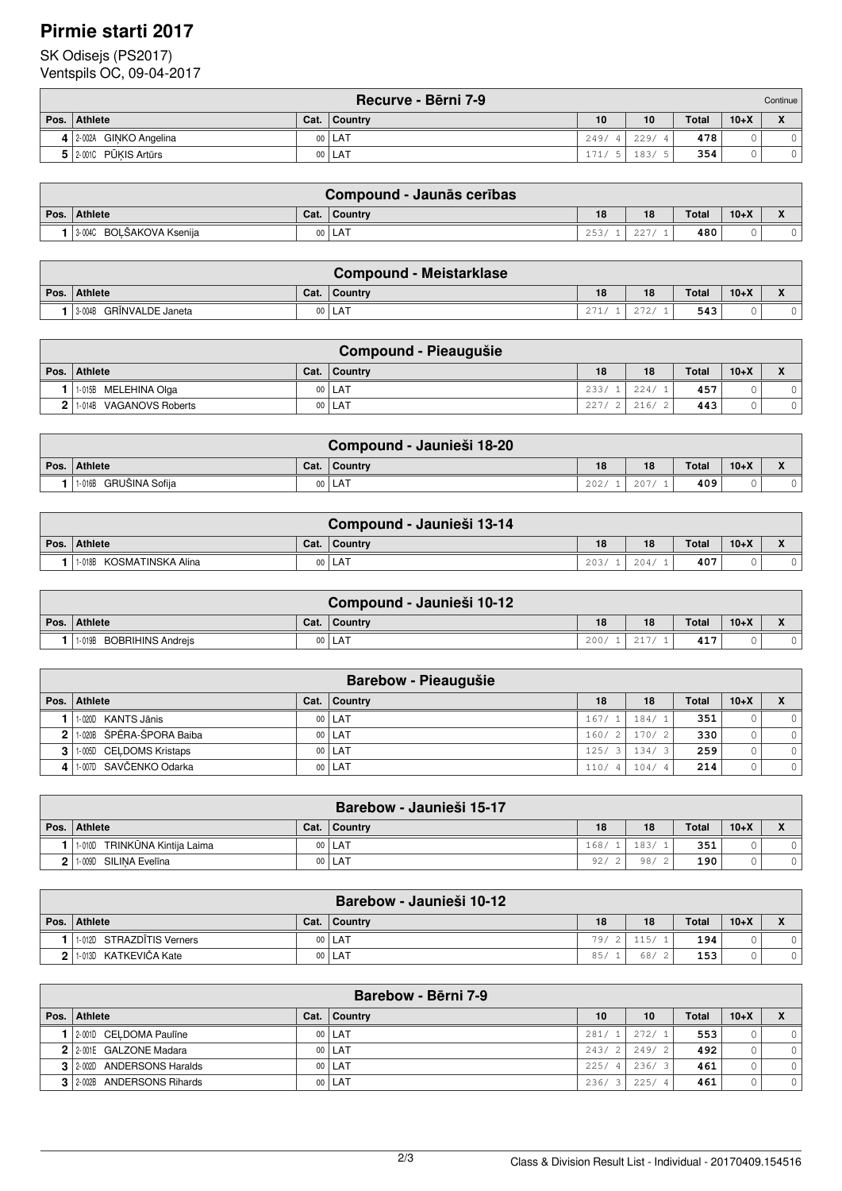# **Pirmie starti 2017**

### SK Odisejs (PS2017)

Ventspils OC, 09-04-2017

|                         |      | Recurve - Bērni 7-9 |      |      |              |        | Continue     |
|-------------------------|------|---------------------|------|------|--------------|--------|--------------|
| Pos.   Athlete          | Cat. | <b>Country</b>      | 10   | 10   | <b>Total</b> | $10+X$ | $\mathbf{v}$ |
| 4 2-002A GINKO Angelina |      | 00   LAT            | 249/ | 229/ | 478          |        |              |
| 5 2001C PŪKIS Artūrs    |      | 00   LAT            | 171. | 183/ | 354          |        |              |

|      | Compound - Jaunās cerības |        |                |      |                            |       |        |  |  |  |  |
|------|---------------------------|--------|----------------|------|----------------------------|-------|--------|--|--|--|--|
| Pos. | <b>Athlete</b>            | Cat.   | <b>Country</b> | 18   | 18                         | Total | $10+X$ |  |  |  |  |
|      | 3-004C BOLŠAKOVA Ksenija  | $00\,$ | ı LAT          | 253/ | $\wedge$ $\wedge$ $\wedge$ | 480   |        |  |  |  |  |

|                         |        | <b>Compound - Meistarklase</b> |      |                      |              |        |  |
|-------------------------|--------|--------------------------------|------|----------------------|--------------|--------|--|
| Pos. Athlete            | Cat.   | Country                        | 18   | 18                   | <b>Total</b> | $10+X$ |  |
| 3-004B GRINVALDE Janeta | $00\,$ | <b>LAT</b>                     | 271/ | $\cap$ $\cap$ $\cap$ | 543          |        |  |

|                                   |      | Compound - Pieaugušie |                  |      |              |        |  |
|-----------------------------------|------|-----------------------|------------------|------|--------------|--------|--|
| Pos. Athlete                      | Cat. | <b>Country</b>        | 18               | 18   | <b>Total</b> | $10+X$ |  |
| 1-015B MELEHINA Olga              |      | 00   LAT              | 233 <sub>1</sub> | 224/ | 457          |        |  |
| <b>VAGANOVS Roberts</b><br>1-014B |      | 00   LAT              | 227              | 216/ | 443          |        |  |

|                       |      | Compound - Jaunieši 18-20 |      |      |              |        |  |
|-----------------------|------|---------------------------|------|------|--------------|--------|--|
| Pos. Athlete          | Cat. | ∣ Countrv                 | 18   | 18   | <b>Total</b> | $10+X$ |  |
| 1-016B GRUŠINA Sofija |      | 00   LAT                  | 202/ | 207/ | 409          |        |  |

|      | Compound - Jaunieši 13-14   |                 |                |      |      |              |        |  |  |  |  |
|------|-----------------------------|-----------------|----------------|------|------|--------------|--------|--|--|--|--|
| Pos. | <b>Athlete</b>              | Cat.            | <b>Country</b> | 18   | 18   | <b>Total</b> | $10+X$ |  |  |  |  |
|      | KOSMATINSKA Alina<br>1-018B | 00 <sub>o</sub> | . LAT          | 203/ | 204/ | 407          |        |  |  |  |  |

| Compound - Jaunieši 10-12 |      |           |      |    |              |        |              |  |  |  |
|---------------------------|------|-----------|------|----|--------------|--------|--------------|--|--|--|
| Pos. Athlete              | Cat. | ∣ Countrv | 18   | 18 | <b>Total</b> | $10+X$ | $\mathbf{v}$ |  |  |  |
| 1-019B BOBRIHINS Andreis  | 00   | . LAT     | 200/ |    | 417          |        |              |  |  |  |

|      | <b>Barebow - Pieaugušie</b> |      |                |       |  |       |              |        |              |  |  |
|------|-----------------------------|------|----------------|-------|--|-------|--------------|--------|--------------|--|--|
| Pos. | <b>Athlete</b>              | Cat. | <b>Country</b> | 18    |  | 18    | <b>Total</b> | $10+X$ | $\mathbf{v}$ |  |  |
|      | 1-020D KANTS Jānis          |      | 00   LAT       | 167/  |  | 184/1 | 351          |        | $\circ$      |  |  |
|      | 2 1.020B ŠPĒRA-ŠPORA Baiba  |      | 00   LAT       | 160/2 |  | 170/2 | 330          |        | $\circ$      |  |  |
|      | 3   1-005D CELDOMS Kristaps |      | 00   LAT       | 125/3 |  | 134/3 | 259          |        | $\circ$      |  |  |
|      | 1.007D SAVČENKO Odarka      |      | 00   LAT       | 110/  |  | 104/  | 214          |        | $\circ$      |  |  |

|              |                                      |                 | Barebow - Jaunieši 15-17 |                 |      |              |        |                                         |
|--------------|--------------------------------------|-----------------|--------------------------|-----------------|------|--------------|--------|-----------------------------------------|
| Pos. $\vert$ | <b>Athlete</b>                       | Cat.            | Country                  | 18              | 18   | <b>Total</b> | $10+X$ | $\overline{\mathbf{v}}$<br>$\mathbf{v}$ |
|              | TRINKŪNA Kintija Laima<br>$1 - 010D$ |                 | 00   LAT                 | 168/            | 183/ | 351          |        |                                         |
|              | SILINA Evelīna<br>1-009D             | 00 <sup>1</sup> | i LAT                    | 92 <sub>l</sub> | 98/  | 190          |        |                                         |

|                |                              |                 | Barebow - Jaunieši 10-12 |      |      |              |        |                                         |
|----------------|------------------------------|-----------------|--------------------------|------|------|--------------|--------|-----------------------------------------|
| Pos. $\vert$   | <b>Athlete</b>               | Cat.            | Country                  | 18   | 18   | <b>Total</b> | $10+X$ | $\overline{\mathbf{v}}$<br>$\mathbf{v}$ |
|                | 1-012D STRAZDITIS Verners    |                 | 00   LAT                 | 79/2 | 1151 | 194          |        |                                         |
| 2 <sub>1</sub> | KATKEVIČA Kate<br>$1 - 013D$ | 00 <sup>1</sup> | i LAT                    | 85/  | 68,  | 153          |        |                                         |

|              | Barebow - Bērni 7-9       |      |          |       |                |       |       |        |         |  |  |
|--------------|---------------------------|------|----------|-------|----------------|-------|-------|--------|---------|--|--|
| Pos. $\vert$ | <b>Athlete</b>            | Cat. | Country  | 10    |                | 10    | Total | $10+X$ |         |  |  |
|              | 2-001D CELDOMA Pauline    |      | 00   LAT | 281/1 |                | 272/1 | 553   |        |         |  |  |
|              | 2 2 2001E GALZONE Madara  |      | 00   LAT | 243/2 |                | 249/2 | 492   |        | $\circ$ |  |  |
|              | 3 2002D ANDERSONS Haralds |      | 00   LAT | 225/  | $\overline{4}$ | 236/3 | 461   |        |         |  |  |
|              | 3 2002B ANDERSONS Rihards |      | 00   LAT | 236/  |                | 225/4 | 461   |        | $\circ$ |  |  |